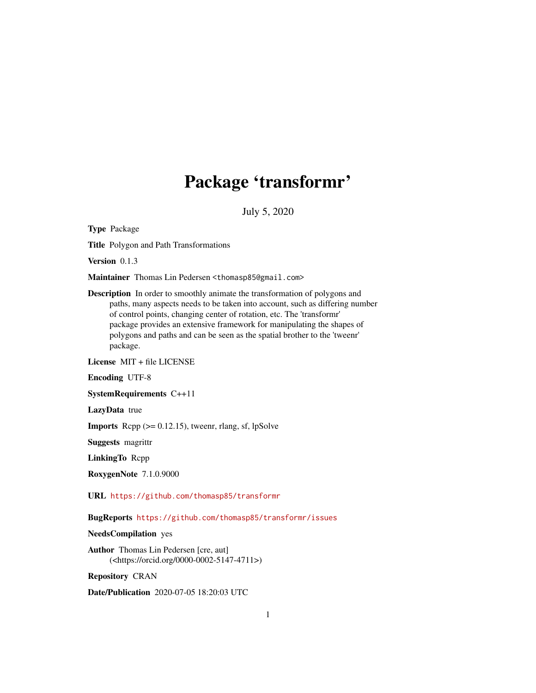# Package 'transformr'

July 5, 2020

<span id="page-0-0"></span>Type Package

Title Polygon and Path Transformations

Version 0.1.3

Maintainer Thomas Lin Pedersen <thomasp85@gmail.com>

Description In order to smoothly animate the transformation of polygons and paths, many aspects needs to be taken into account, such as differing number of control points, changing center of rotation, etc. The 'transformr' package provides an extensive framework for manipulating the shapes of polygons and paths and can be seen as the spatial brother to the 'tweenr' package.

License MIT + file LICENSE

Encoding UTF-8

SystemRequirements C++11

LazyData true

**Imports** Rcpp  $(>= 0.12.15)$ , tweenr, rlang, sf, lpSolve

Suggests magrittr

LinkingTo Rcpp

RoxygenNote 7.1.0.9000

URL <https://github.com/thomasp85/transformr>

BugReports <https://github.com/thomasp85/transformr/issues>

NeedsCompilation yes

Author Thomas Lin Pedersen [cre, aut] (<https://orcid.org/0000-0002-5147-4711>)

Repository CRAN

Date/Publication 2020-07-05 18:20:03 UTC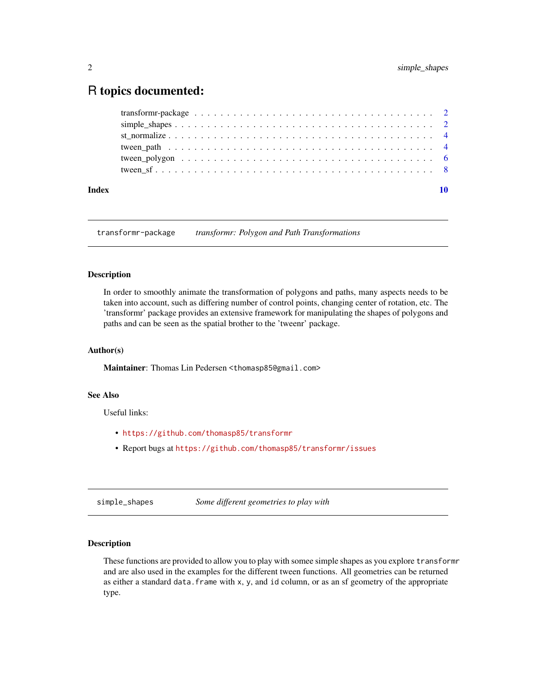# <span id="page-1-0"></span>R topics documented:

| Index |                                                                                                                    |  |
|-------|--------------------------------------------------------------------------------------------------------------------|--|
|       |                                                                                                                    |  |
|       |                                                                                                                    |  |
|       |                                                                                                                    |  |
|       |                                                                                                                    |  |
|       |                                                                                                                    |  |
|       | transform - package $\ldots \ldots \ldots \ldots \ldots \ldots \ldots \ldots \ldots \ldots \ldots \ldots \ldots 2$ |  |

transformr-package *transformr: Polygon and Path Transformations*

#### Description

In order to smoothly animate the transformation of polygons and paths, many aspects needs to be taken into account, such as differing number of control points, changing center of rotation, etc. The 'transformr' package provides an extensive framework for manipulating the shapes of polygons and paths and can be seen as the spatial brother to the 'tweenr' package.

#### Author(s)

Maintainer: Thomas Lin Pedersen <thomasp85@gmail.com>

#### See Also

Useful links:

- <https://github.com/thomasp85/transformr>
- Report bugs at <https://github.com/thomasp85/transformr/issues>

simple\_shapes *Some different geometries to play with*

#### Description

These functions are provided to allow you to play with somee simple shapes as you explore transformr and are also used in the examples for the different tween functions. All geometries can be returned as either a standard data.frame with x, y, and id column, or as an sf geometry of the appropriate type.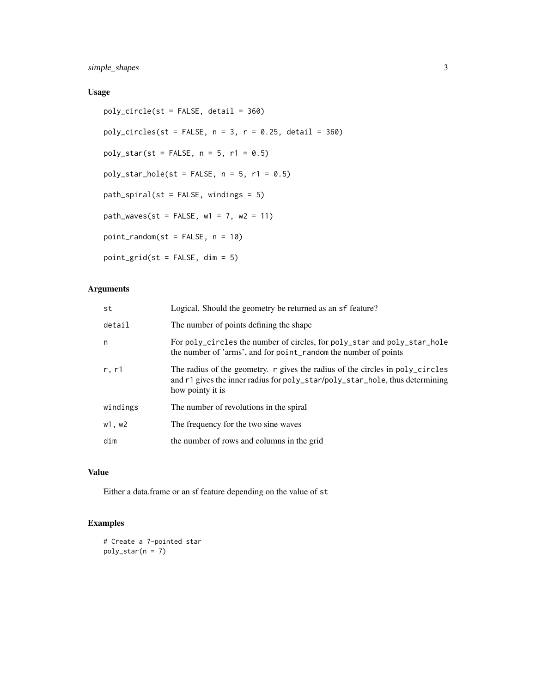simple\_shapes 3

# Usage

```
poly_circle(st = FALSE, detail = 360)
poly\_circles(st = FALSE, n = 3, r = 0.25, detail = 360)poly_star(st = FALSE, n = 5, r1 = 0.5)
poly\_star\_hole(st = FALSE, n = 5, r1 = 0.5)path_spiral(st = FALSE, windings = 5)
path_waves(st = FALSE, w1 = 7, w2 = 11)
point_random(st = FALSE, n = 10)
point_grid(st = FALSE, dim = 5)
```
# Arguments

| st       | Logical. Should the geometry be returned as an sf feature?                                                                                                                        |
|----------|-----------------------------------------------------------------------------------------------------------------------------------------------------------------------------------|
| detail   | The number of points defining the shape                                                                                                                                           |
| n        | For poly_circles the number of circles, for poly_star and poly_star_hole<br>the number of 'arms', and for point_random the number of points                                       |
| r, r1    | The radius of the geometry. r gives the radius of the circles in poly_circles<br>and r1 gives the inner radius for poly_star/poly_star_hole, thus determining<br>how pointy it is |
| windings | The number of revolutions in the spiral                                                                                                                                           |
| w1, w2   | The frequency for the two sine waves                                                                                                                                              |
| dim      | the number of rows and columns in the grid                                                                                                                                        |

# Value

Either a data.frame or an sf feature depending on the value of st

# Examples

# Create a 7-pointed star  $poly\_star(n = 7)$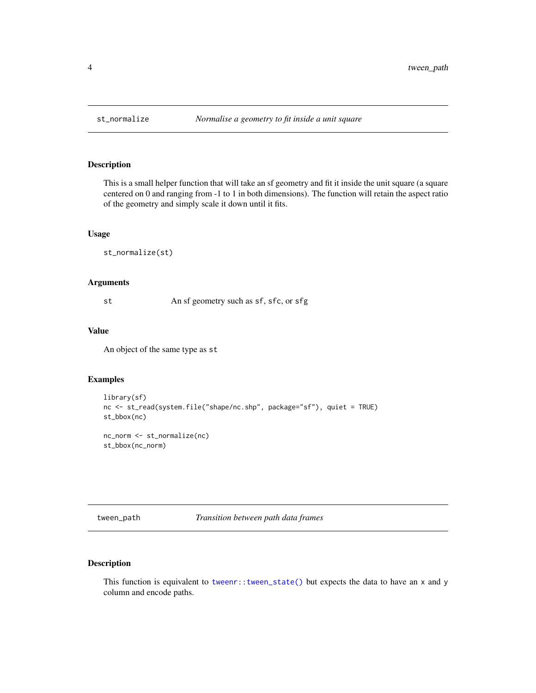<span id="page-3-0"></span>

#### Description

This is a small helper function that will take an sf geometry and fit it inside the unit square (a square centered on 0 and ranging from -1 to 1 in both dimensions). The function will retain the aspect ratio of the geometry and simply scale it down until it fits.

#### Usage

st\_normalize(st)

#### Arguments

st An sf geometry such as sf, sfc, or sfg

#### Value

An object of the same type as st

#### Examples

```
library(sf)
nc <- st_read(system.file("shape/nc.shp", package="sf"), quiet = TRUE)
st_bbox(nc)
nc_norm <- st_normalize(nc)
st_bbox(nc_norm)
```
<span id="page-3-1"></span>tween\_path *Transition between path data frames*

### Description

This function is equivalent to [tweenr::tween\\_state\(\)](#page-0-0) but expects the data to have an x and y column and encode paths.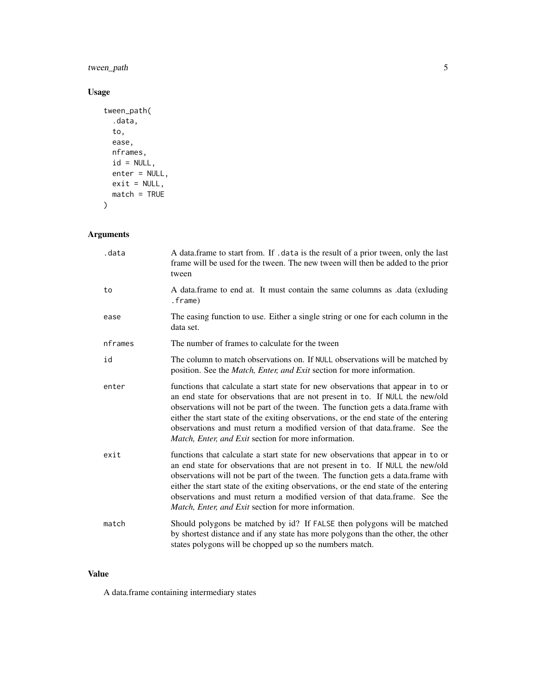# tween\_path 5

# Usage

```
tween_path(
  .data,
  to,
  ease,
  nframes,
  id = NULL,enter = NULL,
  exit = NULL,match = TRUE
)
```
# Arguments

| .data   | A data. frame to start from. If . data is the result of a prior tween, only the last<br>frame will be used for the tween. The new tween will then be added to the prior<br>tween                                                                                                                                                                                                                                                                                                           |
|---------|--------------------------------------------------------------------------------------------------------------------------------------------------------------------------------------------------------------------------------------------------------------------------------------------------------------------------------------------------------------------------------------------------------------------------------------------------------------------------------------------|
| to      | A data.frame to end at. It must contain the same columns as .data (exluding<br>.frame)                                                                                                                                                                                                                                                                                                                                                                                                     |
| ease    | The easing function to use. Either a single string or one for each column in the<br>data set.                                                                                                                                                                                                                                                                                                                                                                                              |
| nframes | The number of frames to calculate for the tween                                                                                                                                                                                                                                                                                                                                                                                                                                            |
| id      | The column to match observations on. If NULL observations will be matched by<br>position. See the <i>Match</i> , <i>Enter</i> , <i>and Exit</i> section for more information.                                                                                                                                                                                                                                                                                                              |
| enter   | functions that calculate a start state for new observations that appear in to or<br>an end state for observations that are not present in to. If NULL the new/old<br>observations will not be part of the tween. The function gets a data.frame with<br>either the start state of the exiting observations, or the end state of the entering<br>observations and must return a modified version of that data.frame. See the<br><i>Match, Enter, and Exit section for more information.</i> |
| exit    | functions that calculate a start state for new observations that appear in to or<br>an end state for observations that are not present in to. If NULL the new/old<br>observations will not be part of the tween. The function gets a data.frame with<br>either the start state of the exiting observations, or the end state of the entering<br>observations and must return a modified version of that data.frame. See the<br><i>Match, Enter, and Exit section for more information.</i> |
| match   | Should polygons be matched by id? If FALSE then polygons will be matched<br>by shortest distance and if any state has more polygons than the other, the other<br>states polygons will be chopped up so the numbers match.                                                                                                                                                                                                                                                                  |

# Value

A data.frame containing intermediary states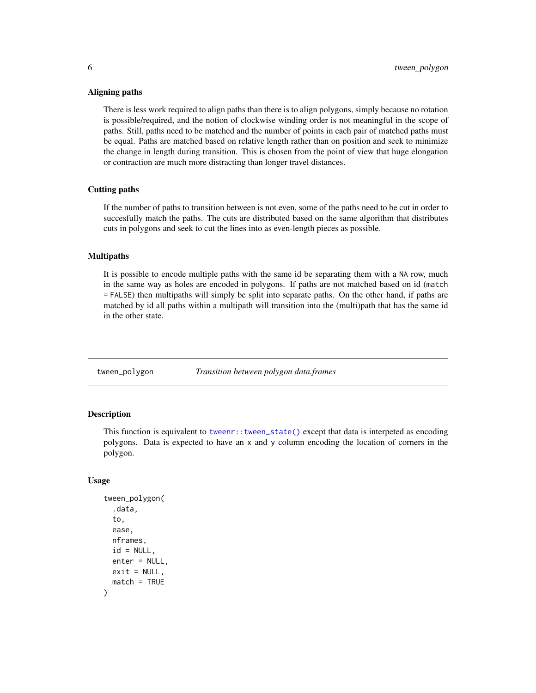#### <span id="page-5-0"></span>Aligning paths

There is less work required to align paths than there is to align polygons, simply because no rotation is possible/required, and the notion of clockwise winding order is not meaningful in the scope of paths. Still, paths need to be matched and the number of points in each pair of matched paths must be equal. Paths are matched based on relative length rather than on position and seek to minimize the change in length during transition. This is chosen from the point of view that huge elongation or contraction are much more distracting than longer travel distances.

#### Cutting paths

If the number of paths to transition between is not even, some of the paths need to be cut in order to succesfully match the paths. The cuts are distributed based on the same algorithm that distributes cuts in polygons and seek to cut the lines into as even-length pieces as possible.

#### Multipaths

It is possible to encode multiple paths with the same id be separating them with a NA row, much in the same way as holes are encoded in polygons. If paths are not matched based on id (match = FALSE) then multipaths will simply be split into separate paths. On the other hand, if paths are matched by id all paths within a multipath will transition into the (multi)path that has the same id in the other state.

<span id="page-5-1"></span>tween\_polygon *Transition between polygon data.frames*

# **Description**

This function is equivalent to [tweenr::tween\\_state\(\)](#page-0-0) except that data is interpeted as encoding polygons. Data is expected to have an x and y column encoding the location of corners in the polygon.

#### Usage

```
tween_polygon(
  .data,
  to,
  ease,
  nframes,
  id = NULL,enter = NULL,
  exit = NULL,match = TRUE
)
```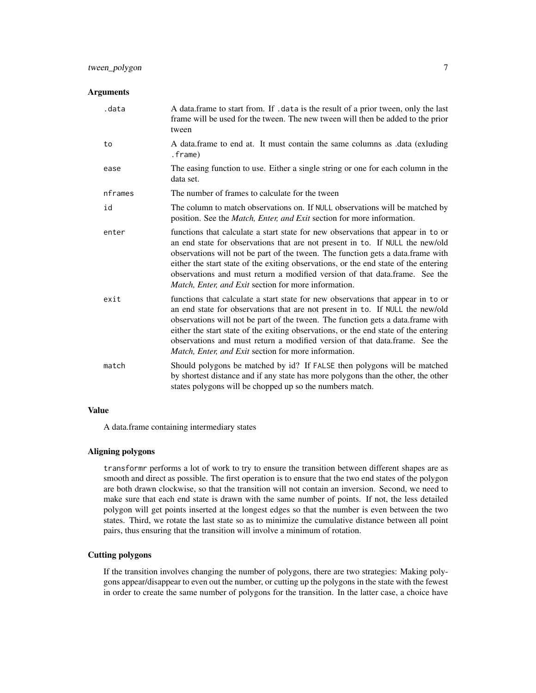## tween\_polygon 7

#### Arguments

| .data   | A data.frame to start from. If .data is the result of a prior tween, only the last<br>frame will be used for the tween. The new tween will then be added to the prior<br>tween                                                                                                                                                                                                                                                                                                             |
|---------|--------------------------------------------------------------------------------------------------------------------------------------------------------------------------------------------------------------------------------------------------------------------------------------------------------------------------------------------------------------------------------------------------------------------------------------------------------------------------------------------|
| to      | A data.frame to end at. It must contain the same columns as .data (exluding<br>.frame)                                                                                                                                                                                                                                                                                                                                                                                                     |
| ease    | The easing function to use. Either a single string or one for each column in the<br>data set.                                                                                                                                                                                                                                                                                                                                                                                              |
| nframes | The number of frames to calculate for the tween                                                                                                                                                                                                                                                                                                                                                                                                                                            |
| id      | The column to match observations on. If NULL observations will be matched by<br>position. See the <i>Match</i> , <i>Enter, and Exit</i> section for more information.                                                                                                                                                                                                                                                                                                                      |
| enter   | functions that calculate a start state for new observations that appear in to or<br>an end state for observations that are not present in to. If NULL the new/old<br>observations will not be part of the tween. The function gets a data.frame with<br>either the start state of the exiting observations, or the end state of the entering<br>observations and must return a modified version of that data.frame. See the<br><i>Match, Enter, and Exit section for more information.</i> |
| exit    | functions that calculate a start state for new observations that appear in to or<br>an end state for observations that are not present in to. If NULL the new/old<br>observations will not be part of the tween. The function gets a data.frame with<br>either the start state of the exiting observations, or the end state of the entering<br>observations and must return a modified version of that data.frame. See the<br><i>Match, Enter, and Exit section for more information.</i> |
| match   | Should polygons be matched by id? If FALSE then polygons will be matched<br>by shortest distance and if any state has more polygons than the other, the other<br>states polygons will be chopped up so the numbers match.                                                                                                                                                                                                                                                                  |

# Value

A data.frame containing intermediary states

#### Aligning polygons

transformr performs a lot of work to try to ensure the transition between different shapes are as smooth and direct as possible. The first operation is to ensure that the two end states of the polygon are both drawn clockwise, so that the transition will not contain an inversion. Second, we need to make sure that each end state is drawn with the same number of points. If not, the less detailed polygon will get points inserted at the longest edges so that the number is even between the two states. Third, we rotate the last state so as to minimize the cumulative distance between all point pairs, thus ensuring that the transition will involve a minimum of rotation.

#### Cutting polygons

If the transition involves changing the number of polygons, there are two strategies: Making polygons appear/disappear to even out the number, or cutting up the polygons in the state with the fewest in order to create the same number of polygons for the transition. In the latter case, a choice have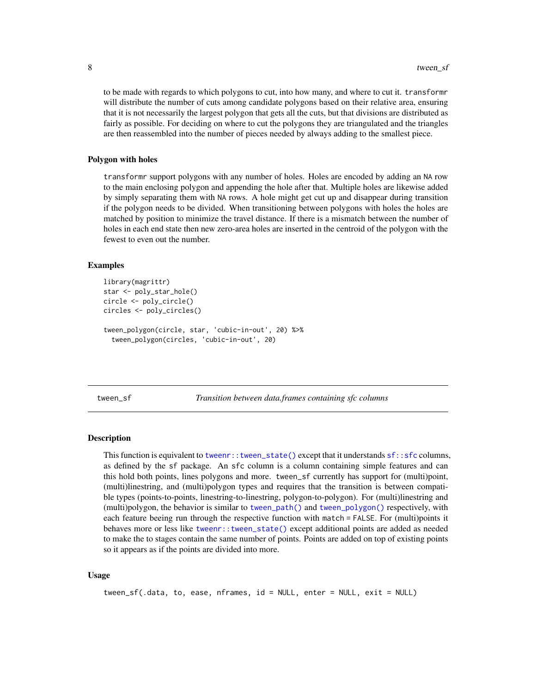<span id="page-7-0"></span>to be made with regards to which polygons to cut, into how many, and where to cut it. transformr will distribute the number of cuts among candidate polygons based on their relative area, ensuring that it is not necessarily the largest polygon that gets all the cuts, but that divisions are distributed as fairly as possible. For deciding on where to cut the polygons they are triangulated and the triangles are then reassembled into the number of pieces needed by always adding to the smallest piece.

#### Polygon with holes

transformr support polygons with any number of holes. Holes are encoded by adding an NA row to the main enclosing polygon and appending the hole after that. Multiple holes are likewise added by simply separating them with NA rows. A hole might get cut up and disappear during transition if the polygon needs to be divided. When transitioning between polygons with holes the holes are matched by position to minimize the travel distance. If there is a mismatch between the number of holes in each end state then new zero-area holes are inserted in the centroid of the polygon with the fewest to even out the number.

#### Examples

```
library(magrittr)
star <- poly_star_hole()
circle <- poly_circle()
circles <- poly_circles()
tween_polygon(circle, star, 'cubic-in-out', 20) %>%
  tween_polygon(circles, 'cubic-in-out', 20)
```
tween\_sf *Transition between data.frames containing sfc columns*

#### Description

This function is equivalent to [tweenr::tween\\_state\(\)](#page-0-0) except that it understands [sf::sfc](#page-0-0) columns, as defined by the sf package. An sfc column is a column containing simple features and can this hold both points, lines polygons and more. tween\_sf currently has support for (multi)point, (multi)linestring, and (multi)polygon types and requires that the transition is between compatible types (points-to-points, linestring-to-linestring, polygon-to-polygon). For (multi)linestring and (multi)polygon, the behavior is similar to [tween\\_path\(\)](#page-3-1) and [tween\\_polygon\(\)](#page-5-1) respectively, with each feature beeing run through the respective function with match = FALSE. For (multi)points it behaves more or less like [tweenr::tween\\_state\(\)](#page-0-0) except additional points are added as needed to make the to stages contain the same number of points. Points are added on top of existing points so it appears as if the points are divided into more.

#### Usage

tween\_sf(.data, to, ease, nframes, id = NULL, enter = NULL, exit = NULL)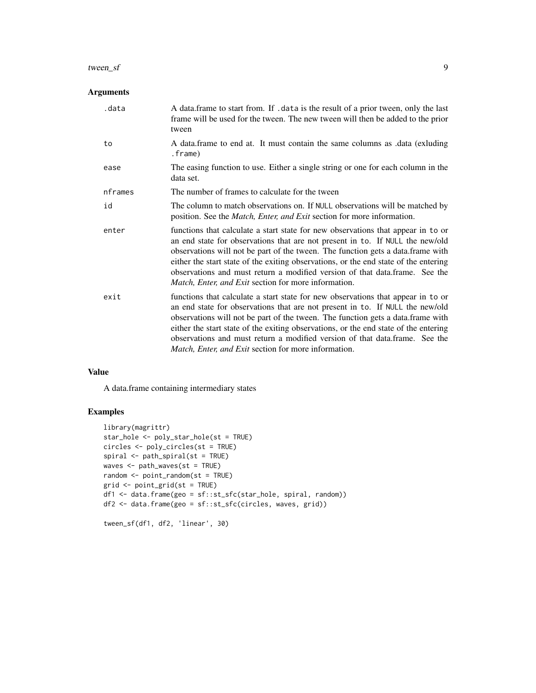#### tween\_sf 9

### Arguments

| .data   | A data.frame to start from. If .data is the result of a prior tween, only the last<br>frame will be used for the tween. The new tween will then be added to the prior<br>tween                                                                                                                                                                                                                                                                                                             |
|---------|--------------------------------------------------------------------------------------------------------------------------------------------------------------------------------------------------------------------------------------------------------------------------------------------------------------------------------------------------------------------------------------------------------------------------------------------------------------------------------------------|
| to      | A data frame to end at. It must contain the same columns as data (exluding<br>.frame)                                                                                                                                                                                                                                                                                                                                                                                                      |
| ease    | The easing function to use. Either a single string or one for each column in the<br>data set.                                                                                                                                                                                                                                                                                                                                                                                              |
| nframes | The number of frames to calculate for the tween                                                                                                                                                                                                                                                                                                                                                                                                                                            |
| id      | The column to match observations on. If NULL observations will be matched by<br>position. See the <i>Match</i> , <i>Enter, and Exit</i> section for more information.                                                                                                                                                                                                                                                                                                                      |
| enter   | functions that calculate a start state for new observations that appear in to or<br>an end state for observations that are not present in to. If NULL the new/old<br>observations will not be part of the tween. The function gets a data.frame with<br>either the start state of the exiting observations, or the end state of the entering<br>observations and must return a modified version of that data.frame. See the<br><i>Match, Enter, and Exit section for more information.</i> |
| exit    | functions that calculate a start state for new observations that appear in to or<br>an end state for observations that are not present in to. If NULL the new/old<br>observations will not be part of the tween. The function gets a data.frame with<br>either the start state of the exiting observations, or the end state of the entering<br>observations and must return a modified version of that data.frame. See the<br>Match, Enter, and Exit section for more information.        |

#### Value

A data.frame containing intermediary states

## Examples

```
library(magrittr)
star_hole <- poly_star_hole(st = TRUE)
circles <- poly_circles(st = TRUE)
spiral <- path_spiral(st = TRUE)
waves <- path_waves(st = TRUE)
random <- point_random(st = TRUE)
grid <- point_grid(st = TRUE)
df1 <- data.frame(geo = sf::st_sfc(star_hole, spiral, random))
df2 <- data.frame(geo = sf::st_sfc(circles, waves, grid))
```

```
tween_sf(df1, df2, 'linear', 30)
```